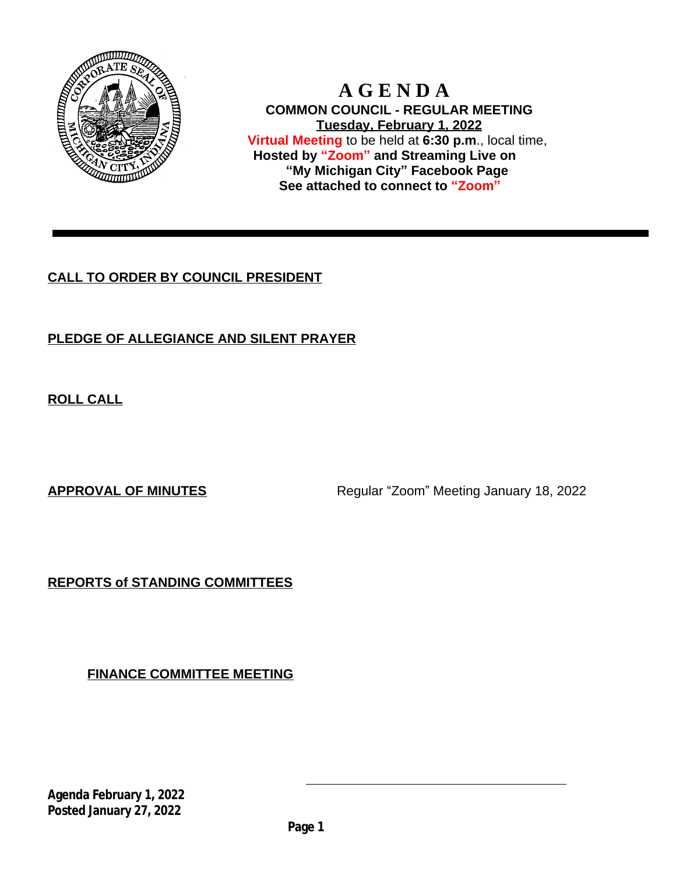

 **A G E N D A COMMON COUNCIL - REGULAR MEETING Tuesday, February 1, 2022 Virtual Meeting** to be held at **6:30 p.m**., local time, **Hosted by "Zoom" and Streaming Live on "My Michigan City" Facebook Page See attached to connect to "Zoom"**

# **CALL TO ORDER BY COUNCIL PRESIDENT**

# **PLEDGE OF ALLEGIANCE AND SILENT PRAYER**

**ROLL CALL**

**APPROVAL OF MINUTES** Regular "Zoom" Meeting January 18, 2022

**REPORTS of STANDING COMMITTEES**

**FINANCE COMMITTEE MEETING**

**Agenda February 1, 2022 Posted January 27, 2022**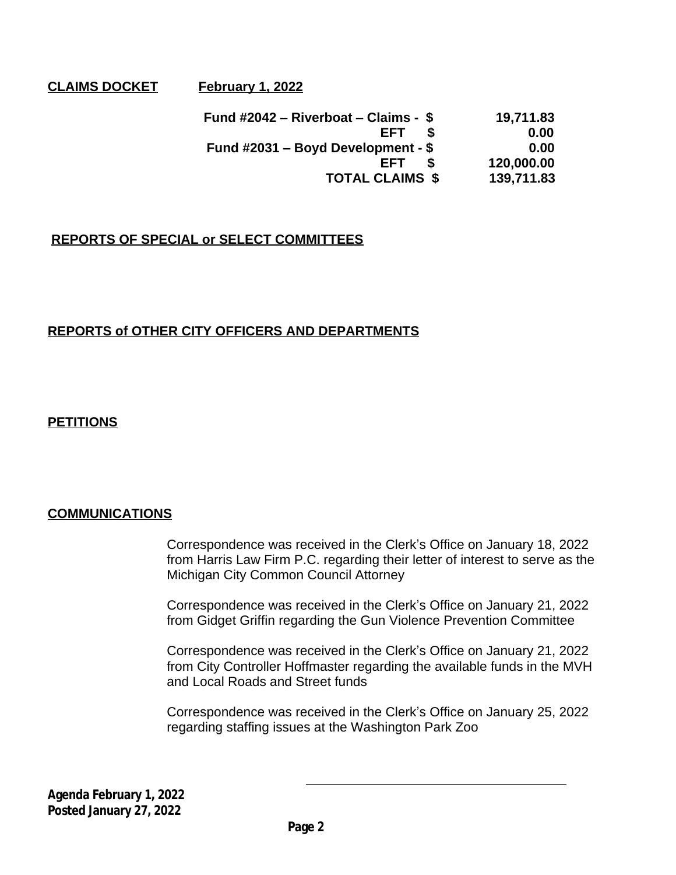# **CLAIMS DOCKET** February 1, 2022

 **Fund #2042 – Riverboat – Claims - \$ 19,711.83 EFT \$ 0.00 Fund #2031 – Boyd Development - \$ 0.00 EFT \$ 120,000.00 TOTAL CLAIMS \$ 139,711.83**

# **REPORTS OF SPECIAL or SELECT COMMITTEES**

# **REPORTS of OTHER CITY OFFICERS AND DEPARTMENTS**

## **PETITIONS**

#### **COMMUNICATIONS**

Correspondence was received in the Clerk's Office on January 18, 2022 from Harris Law Firm P.C. regarding their letter of interest to serve as the Michigan City Common Council Attorney

Correspondence was received in the Clerk's Office on January 21, 2022 from Gidget Griffin regarding the Gun Violence Prevention Committee

Correspondence was received in the Clerk's Office on January 21, 2022 from City Controller Hoffmaster regarding the available funds in the MVH and Local Roads and Street funds

Correspondence was received in the Clerk's Office on January 25, 2022 regarding staffing issues at the Washington Park Zoo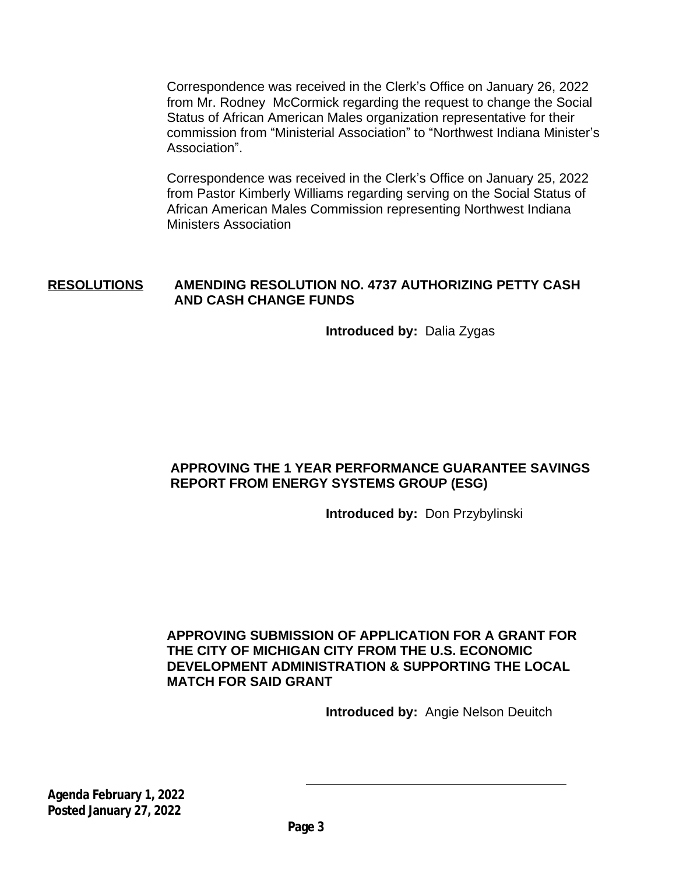Correspondence was received in the Clerk's Office on January 26, 2022 from Mr. Rodney McCormick regarding the request to change the Social Status of African American Males organization representative for their commission from "Ministerial Association" to "Northwest Indiana Minister's Association".

Correspondence was received in the Clerk's Office on January 25, 2022 from Pastor Kimberly Williams regarding serving on the Social Status of African American Males Commission representing Northwest Indiana Ministers Association

## **RESOLUTIONS AMENDING RESOLUTION NO. 4737 AUTHORIZING PETTY CASH AND CASH CHANGE FUNDS**

**Introduced by:** Dalia Zygas

# **APPROVING THE 1 YEAR PERFORMANCE GUARANTEE SAVINGS REPORT FROM ENERGY SYSTEMS GROUP (ESG)**

**Introduced by:** Don Przybylinski

**APPROVING SUBMISSION OF APPLICATION FOR A GRANT FOR THE CITY OF MICHIGAN CITY FROM THE U.S. ECONOMIC DEVELOPMENT ADMINISTRATION & SUPPORTING THE LOCAL MATCH FOR SAID GRANT**

**Introduced by:** Angie Nelson Deuitch

**Agenda February 1, 2022 Posted January 27, 2022**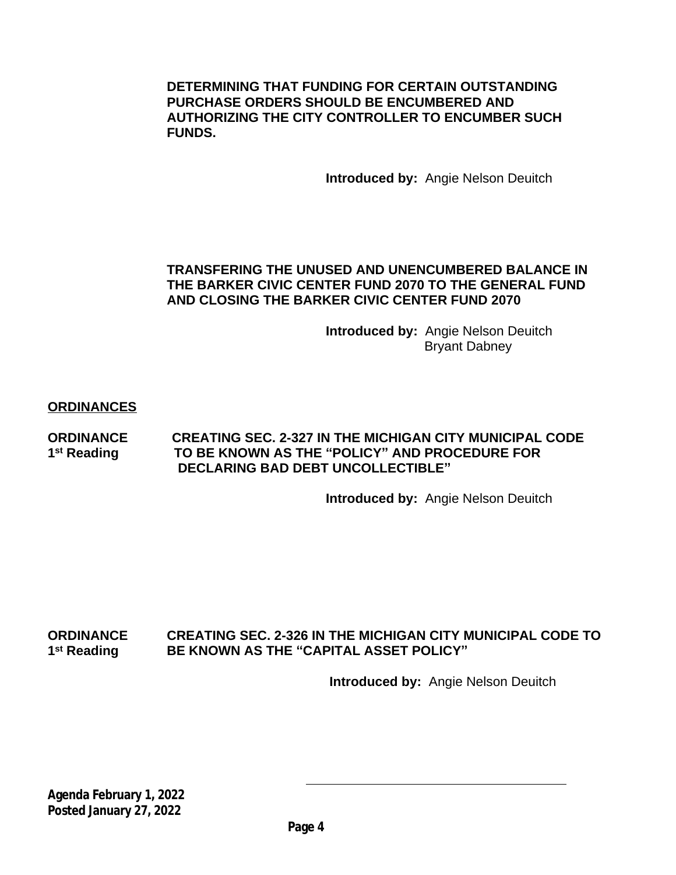**DETERMINING THAT FUNDING FOR CERTAIN OUTSTANDING PURCHASE ORDERS SHOULD BE ENCUMBERED AND AUTHORIZING THE CITY CONTROLLER TO ENCUMBER SUCH FUNDS.**

**Introduced by:** Angie Nelson Deuitch

## **TRANSFERING THE UNUSED AND UNENCUMBERED BALANCE IN THE BARKER CIVIC CENTER FUND 2070 TO THE GENERAL FUND AND CLOSING THE BARKER CIVIC CENTER FUND 2070**

**Introduced by:** Angie Nelson Deuitch Bryant Dabney

#### **ORDINANCES**

**ORDINANCE CREATING SEC. 2-327 IN THE MICHIGAN CITY MUNICIPAL CODE** 1<sup>st</sup> Reading **st Reading TO BE KNOWN AS THE "POLICY" AND PROCEDURE FOR DECLARING BAD DEBT UNCOLLECTIBLE"**

**Introduced by:** Angie Nelson Deuitch

#### **ORDINANCE CREATING SEC. 2-326 IN THE MICHIGAN CITY MUNICIPAL CODE TO** 1<sup>st</sup> Reading **BE KNOWN AS THE "CAPITAL ASSET POLICY"**

 **Introduced by:** Angie Nelson Deuitch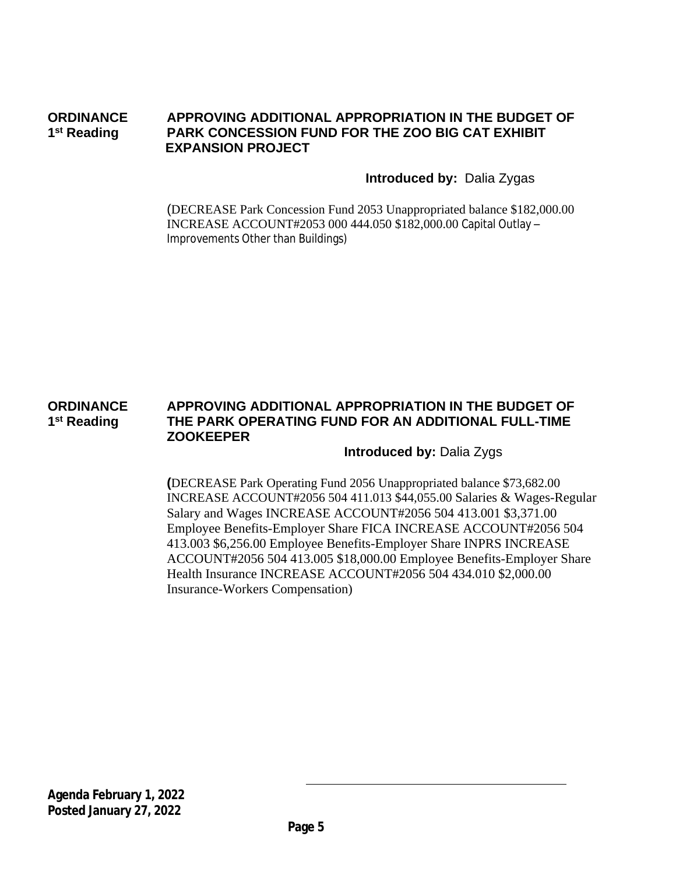#### **ORDINANCE APPROVING ADDITIONAL APPROPRIATION IN THE BUDGET OF** 1<sup>st</sup> Reading **PARK CONCESSION FUND FOR THE ZOO BIG CAT EXHIBIT EXPANSION PROJECT**

## **Introduced by:** Dalia Zygas

(DECREASE Park Concession Fund 2053 Unappropriated balance \$182,000.00 INCREASE ACCOUNT#2053 000 444.050 \$182,000.00 Capital Outlay – Improvements Other than Buildings)

#### **ORDINANCE APPROVING ADDITIONAL APPROPRIATION IN THE BUDGET OF** 1<sup>st</sup> Reading **THE PARK OPERATING FUND FOR AN ADDITIONAL FULL-TIME ZOOKEEPER**

#### **Introduced by:** Dalia Zygs

**(**DECREASE Park Operating Fund 2056 Unappropriated balance \$73,682.00 INCREASE ACCOUNT#2056 504 411.013 \$44,055.00 Salaries & Wages-Regular Salary and Wages INCREASE ACCOUNT#2056 504 413.001 \$3,371.00 Employee Benefits-Employer Share FICA INCREASE ACCOUNT#2056 504 413.003 \$6,256.00 Employee Benefits-Employer Share INPRS INCREASE ACCOUNT#2056 504 413.005 \$18,000.00 Employee Benefits-Employer Share Health Insurance INCREASE ACCOUNT#2056 504 434.010 \$2,000.00 Insurance-Workers Compensation)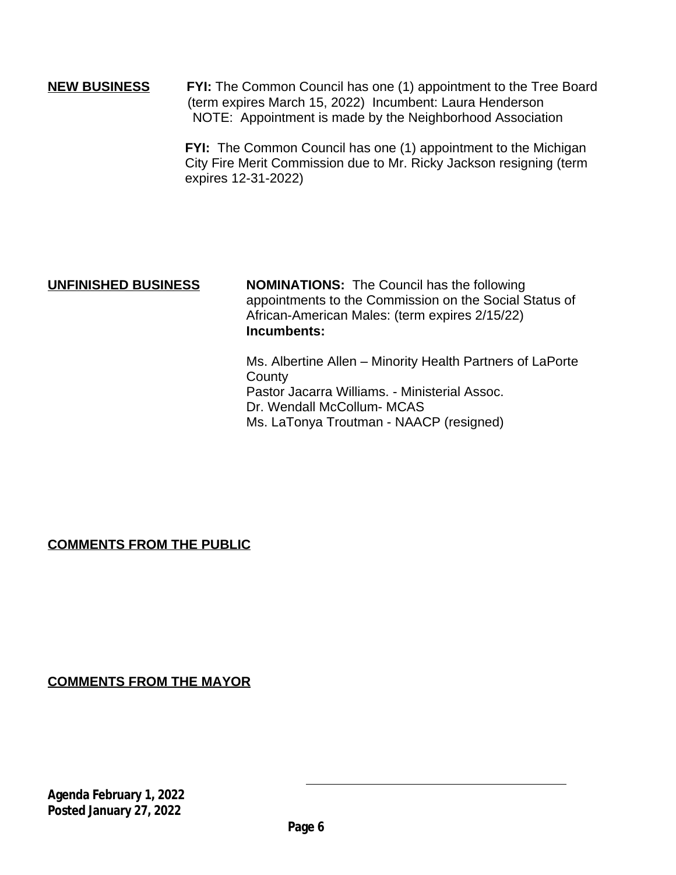**NEW BUSINESS FYI:** The Common Council has one (1) appointment to the Tree Board (term expires March 15, 2022) Incumbent: Laura Henderson NOTE: Appointment is made by the Neighborhood Association

> **FYI:** The Common Council has one (1) appointment to the Michigan City Fire Merit Commission due to Mr. Ricky Jackson resigning (term expires 12-31-2022)

**UNFINISHED BUSINESS NOMINATIONS:** The Council has the following appointments to the Commission on the Social Status of African-American Males: (term expires 2/15/22) **Incumbents:**

> Ms. Albertine Allen – Minority Health Partners of LaPorte **County** Pastor Jacarra Williams. - Ministerial Assoc. Dr. Wendall McCollum- MCAS Ms. LaTonya Troutman - NAACP (resigned)

# **COMMENTS FROM THE PUBLIC**

**COMMENTS FROM THE MAYOR**